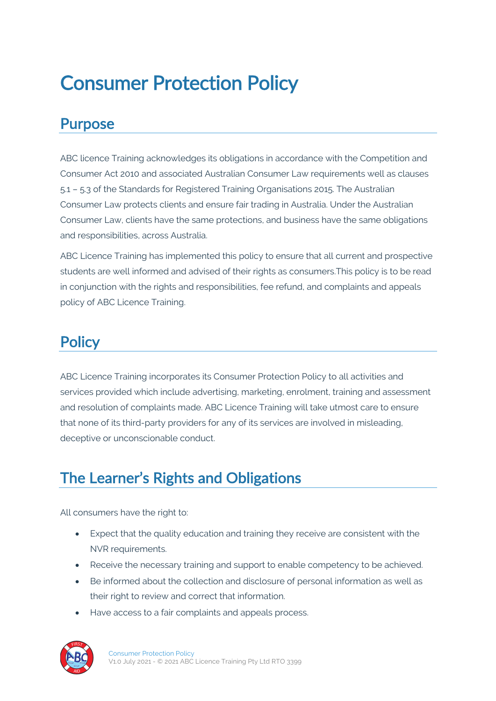# Consumer Protection Policy

### Purpose

ABC licence Training acknowledges its obligations in accordance with the Competition and Consumer Act 2010 and associated Australian Consumer Law requirements well as clauses 5.1 – 5.3 of the Standards for Registered Training Organisations 2015. The Australian Consumer Law protects clients and ensure fair trading in Australia. Under the Australian Consumer Law, clients have the same protections, and business have the same obligations and responsibilities, across Australia.

ABC Licence Training has implemented this policy to ensure that all current and prospective students are well informed and advised of their rights as consumers.This policy is to be read in conjunction with the rights and responsibilities, fee refund, and complaints and appeals policy of ABC Licence Training.

### **Policy**

ABC Licence Training incorporates its Consumer Protection Policy to all activities and services provided which include advertising, marketing, enrolment, training and assessment and resolution of complaints made. ABC Licence Training will take utmost care to ensure that none of its third-party providers for any of its services are involved in misleading, deceptive or unconscionable conduct.

## The Learner's Rights and Obligations

All consumers have the right to:

- Expect that the quality education and training they receive are consistent with the NVR requirements.
- Receive the necessary training and support to enable competency to be achieved.
- Be informed about the collection and disclosure of personal information as well as their right to review and correct that information.
- Have access to a fair complaints and appeals process.

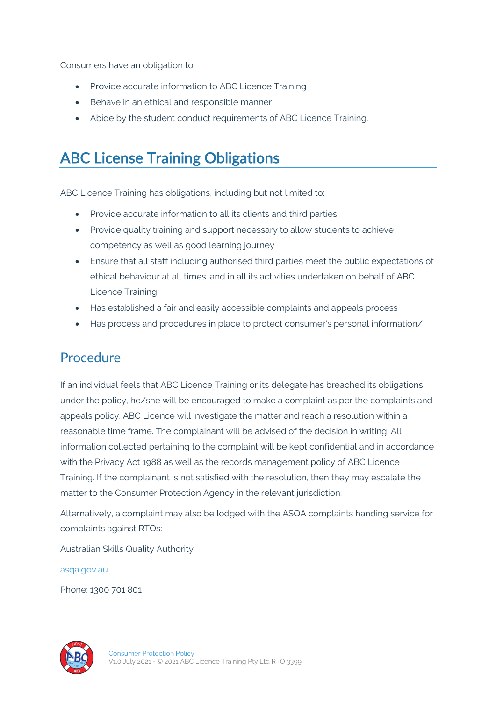Consumers have an obligation to:

- Provide accurate information to ABC Licence Training
- Behave in an ethical and responsible manner
- Abide by the student conduct requirements of ABC Licence Training.

### ABC License Training Obligations

ABC Licence Training has obligations, including but not limited to:

- Provide accurate information to all its clients and third parties
- Provide quality training and support necessary to allow students to achieve competency as well as good learning journey
- Ensure that all staff including authorised third parties meet the public expectations of ethical behaviour at all times. and in all its activities undertaken on behalf of ABC Licence Training
- Has established a fair and easily accessible complaints and appeals process
- Has process and procedures in place to protect consumer's personal information/

#### Procedure

If an individual feels that ABC Licence Training or its delegate has breached its obligations under the policy, he/she will be encouraged to make a complaint as per the complaints and appeals policy. ABC Licence will investigate the matter and reach a resolution within a reasonable time frame. The complainant will be advised of the decision in writing. All information collected pertaining to the complaint will be kept confidential and in accordance with the Privacy Act 1988 as well as the records management policy of ABC Licence Training. If the complainant is not satisfied with the resolution, then they may escalate the matter to the Consumer Protection Agency in the relevant jurisdiction:

Alternatively, a complaint may also be lodged with the ASQA complaints handing service for complaints against RTOs:

Australian Skills Quality Authority

asqa.gov.au

Phone: 1300 701 801